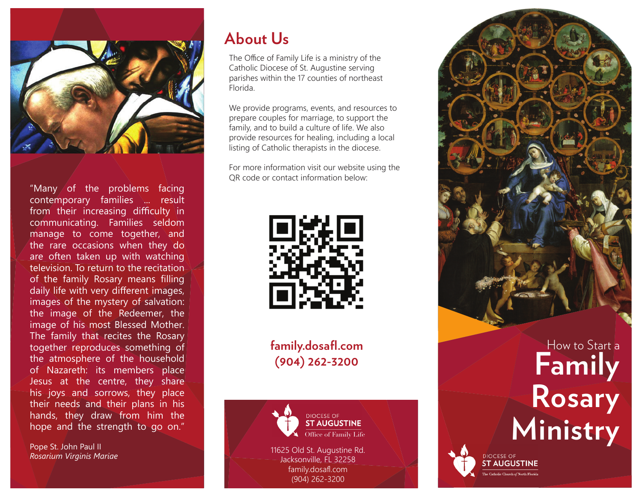

"Many of the problems facing contemporary families ... result from their increasing difficulty in communicating. Families seldom manage to come together, and the rare occasions when they do are often taken up with watching television. To return to the recitation of the family Rosary means filling daily life with very different images, images of the mystery of salvation: the image of the Redeemer, the image of his most Blessed Mother. The family that recites the Rosary together reproduces something of the atmosphere of the household of Nazareth: its members place Jesus at the centre, they share his joys and sorrows, they place their needs and their plans in his hands, they draw from him the hope and the strength to go on."

Pope St. John Paul II

#### **About Us**

The Office of Family Life is a ministry of the Catholic Diocese of St. Augustine serving parishes within the 17 counties of northeast Florida.

We provide programs, events, and resources to prepare couples for marriage, to support the family, and to build a culture of life. We also provide resources for healing, including a local listing of Catholic therapists in the diocese.

For more information visit our website using the QR code or contact information below:



**family.dosafl .com (904) 262-3200**





DIOCESE OF **ST AUGUSTINE**